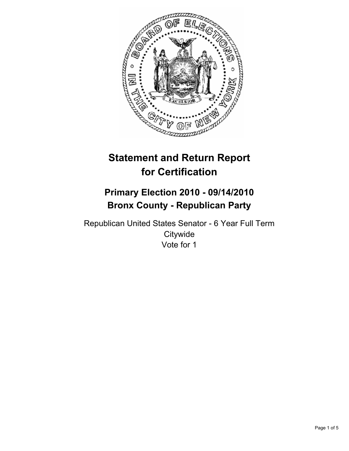

# **Statement and Return Report for Certification**

## **Primary Election 2010 - 09/14/2010 Bronx County - Republican Party**

Republican United States Senator - 6 Year Full Term **Citywide** Vote for 1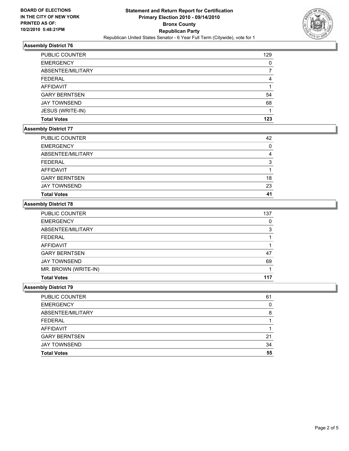

## **Assembly District 76**

| <b>PUBLIC COUNTER</b> | 129 |
|-----------------------|-----|
| <b>EMERGENCY</b>      |     |
| ABSENTEE/MILITARY     |     |
| <b>FEDERAL</b>        |     |
| <b>AFFIDAVIT</b>      |     |
| <b>GARY BERNTSEN</b>  | 54  |
| <b>JAY TOWNSEND</b>   | 68  |
| JESUS (WRITE-IN)      |     |
| <b>Total Votes</b>    | 123 |

#### **Assembly District 77**

| <b>Total Votes</b>   | 41 |
|----------------------|----|
| <b>JAY TOWNSEND</b>  | 23 |
| <b>GARY BERNTSEN</b> | 18 |
| <b>AFFIDAVIT</b>     |    |
| <b>FEDERAL</b>       | 3  |
| ABSENTEE/MILITARY    | 4  |
| <b>EMERGENCY</b>     | 0  |
| PUBLIC COUNTER       | 42 |

#### **Assembly District 78**

| PUBLIC COUNTER       | 137 |
|----------------------|-----|
| <b>EMERGENCY</b>     | 0   |
| ABSENTEE/MILITARY    | 3   |
| <b>FEDERAL</b>       |     |
| <b>AFFIDAVIT</b>     |     |
| <b>GARY BERNTSEN</b> | 47  |
| <b>JAY TOWNSEND</b>  | 69  |
| MR. BROWN (WRITE-IN) |     |
| <b>Total Votes</b>   | 117 |

#### **Assembly District 79**

| <b>Total Votes</b>   | 55 |
|----------------------|----|
| <b>JAY TOWNSEND</b>  | 34 |
| <b>GARY BERNTSEN</b> | 21 |
| <b>AFFIDAVIT</b>     |    |
| <b>FEDERAL</b>       |    |
| ABSENTEE/MILITARY    | 8  |
| <b>EMERGENCY</b>     | 0  |
| PUBLIC COUNTER       | 61 |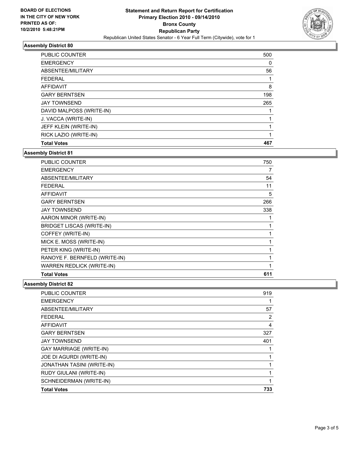

## **Assembly District 80**

| <b>PUBLIC COUNTER</b>    | 500 |
|--------------------------|-----|
| <b>EMERGENCY</b>         | 0   |
| ABSENTEE/MILITARY        | 56  |
| <b>FEDERAL</b>           | 1   |
| <b>AFFIDAVIT</b>         | 8   |
| <b>GARY BERNTSEN</b>     | 198 |
| <b>JAY TOWNSEND</b>      | 265 |
| DAVID MALPOSS (WRITE-IN) |     |
| J. VACCA (WRITE-IN)      |     |
| JEFF KLEIN (WRITE-IN)    |     |
| RICK LAZIO (WRITE-IN)    | 1   |
| <b>Total Votes</b>       | 467 |

#### **Assembly District 81**

| <b>Total Votes</b>               | 611          |
|----------------------------------|--------------|
| <b>WARREN REDLICK (WRITE-IN)</b> | 1            |
| RANOYE F. BERNFELD (WRITE-IN)    |              |
| PETER KING (WRITE-IN)            | 1            |
| MICK E. MOSS (WRITE-IN)          | 1            |
| COFFEY (WRITE-IN)                | 1            |
| <b>BRIDGET LISCAS (WRITE-IN)</b> | $\mathbf{1}$ |
| AARON MINOR (WRITE-IN)           | 1            |
| <b>JAY TOWNSEND</b>              | 338          |
| <b>GARY BERNTSEN</b>             | 266          |
| <b>AFFIDAVIT</b>                 | 5            |
| <b>FEDERAL</b>                   | 11           |
| ABSENTEE/MILITARY                | 54           |
| <b>EMERGENCY</b>                 | 7            |
| PUBLIC COUNTER                   | 750          |

## **Assembly District 82**

| <b>PUBLIC COUNTER</b>          | 919 |
|--------------------------------|-----|
| <b>EMERGENCY</b>               |     |
| ABSENTEE/MILITARY              | 57  |
| <b>FEDERAL</b>                 | 2   |
| <b>AFFIDAVIT</b>               | 4   |
| <b>GARY BERNTSEN</b>           | 327 |
| <b>JAY TOWNSEND</b>            | 401 |
| <b>GAY MARRIAGE (WRITE-IN)</b> |     |
| JOE DI AGURDI (WRITE-IN)       |     |
| JONATHAN TASINI (WRITE-IN)     | 1   |
| RUDY GIULANI (WRITE-IN)        | 1   |
| SCHNEIDERMAN (WRITE-IN)        |     |
| <b>Total Votes</b>             | 733 |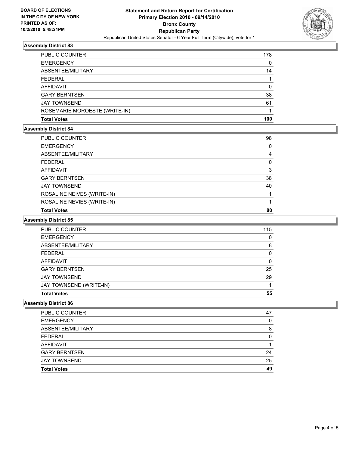

## **Assembly District 83**

| <b>Total Votes</b>            | 100 |
|-------------------------------|-----|
| ROSEMARIE MOROESTE (WRITE-IN) |     |
| <b>JAY TOWNSEND</b>           | 61  |
| <b>GARY BERNTSEN</b>          | 38  |
| AFFIDAVIT                     | 0   |
| <b>FEDERAL</b>                |     |
| ABSENTEE/MILITARY             | 14  |
| <b>EMERGENCY</b>              | 0   |
| <b>PUBLIC COUNTER</b>         | 178 |

## **Assembly District 84**

| <b>PUBLIC COUNTER</b>      | 98 |
|----------------------------|----|
| <b>EMERGENCY</b>           | 0  |
| ABSENTEE/MILITARY          | 4  |
| <b>FEDERAL</b>             | 0  |
| AFFIDAVIT                  | 3  |
| <b>GARY BERNTSEN</b>       | 38 |
| <b>JAY TOWNSEND</b>        | 40 |
| ROSALINE NEIVES (WRITE-IN) |    |
| ROSALINE NEVIES (WRITE-IN) |    |
| <b>Total Votes</b>         | 80 |
|                            |    |

## **Assembly District 85**

| <b>PUBLIC COUNTER</b>   | 115 |
|-------------------------|-----|
| <b>EMERGENCY</b>        | 0   |
| ABSENTEE/MILITARY       | 8   |
| FEDERAL                 | 0   |
| AFFIDAVIT               | 0   |
| <b>GARY BERNTSEN</b>    | 25  |
| <b>JAY TOWNSEND</b>     | 29  |
| JAY TOWNSEND (WRITE-IN) |     |
| <b>Total Votes</b>      | 55  |

#### **Assembly District 86**

| <b>PUBLIC COUNTER</b> | 47 |
|-----------------------|----|
| <b>EMERGENCY</b>      | 0  |
| ABSENTEE/MILITARY     | 8  |
| <b>FEDERAL</b>        | O  |
| <b>AFFIDAVIT</b>      |    |
| <b>GARY BERNTSEN</b>  | 24 |
| <b>JAY TOWNSEND</b>   | 25 |
| <b>Total Votes</b>    | 49 |